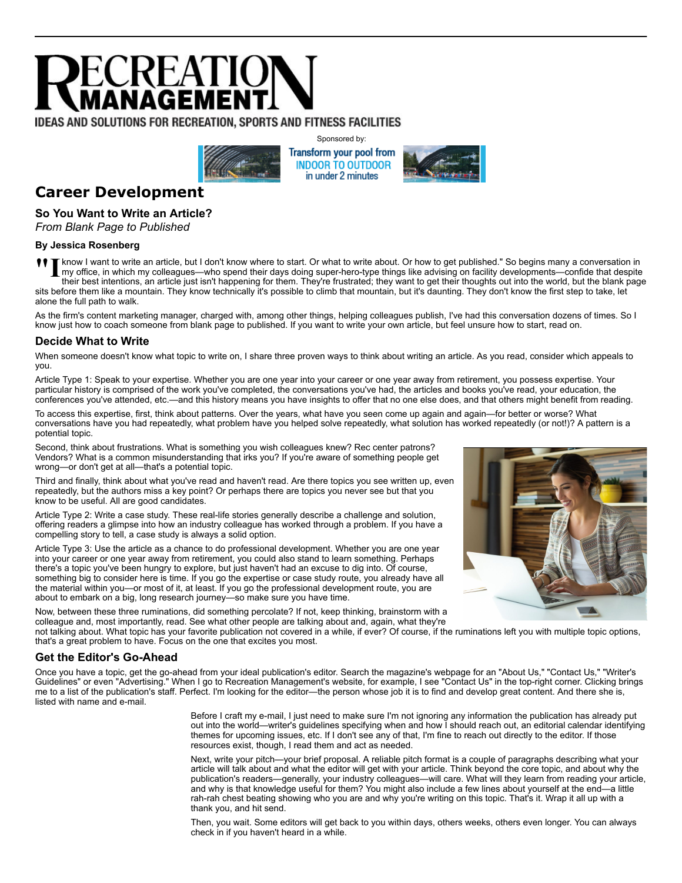# ECREATIO

# **IDEAS AND SOLUTIONS FOR RECREATION, SPORTS AND FITNESS FACILITIES**



Sponsored by: Transform your pool from **INDOOR TO OUTDOOR** in under 2 minutes



# **Career Development**

### **So You Want to Write an Article?**

*From Blank Page to Published*

#### **By Jessica Rosenberg**

**T**<br>In know I want to write an article, but I don't know where to start. Or what to write about. Or how to get published." So begins many a conversation in<br>In my office, in which my colleagues—who spend their days doing su know I want to write an article, but I don't know where to start. Or what to write about. Or how to get published." So begins many a conversation in their best intentions, an article just isn't happening for them. They're frustrated; they want to get their thoughts out into the world, but the blank page sits before them like a mountain. They know technically it's possible to climb that mountain, but it's daunting. They don't know the first step to take, let alone the full path to walk.

As the firm's content marketing manager, charged with, among other things, helping colleagues publish, I've had this conversation dozens of times. So I know just how to coach someone from blank page to published. If you want to write your own article, but feel unsure how to start, read on.

# **Decide What to Write**

When someone doesn't know what topic to write on, I share three proven ways to think about writing an article. As you read, consider which appeals to you.

Article Type 1: Speak to your expertise. Whether you are one year into your career or one year away from retirement, you possess expertise. Your particular history is comprised of the work you've completed, the conversations you've had, the articles and books you've read, your education, the conferences you've attended, etc.—and this history means you have insights to offer that no one else does, and that others might benefit from reading.

To access this expertise, first, think about patterns. Over the years, what have you seen come up again and again—for better or worse? What conversations have you had repeatedly, what problem have you helped solve repeatedly, what solution has worked repeatedly (or not!)? A pattern is a potential topic.

Second, think about frustrations. What is something you wish colleagues knew? Rec center patrons? Vendors? What is a common misunderstanding that irks you? If you're aware of something people get wrong—or don't get at all—that's a potential topic.

Third and finally, think about what you've read and haven't read. Are there topics you see written up, even repeatedly, but the authors miss a key point? Or perhaps there are topics you never see but that you know to be useful. All are good candidates.

Article Type 2: Write a case study. These real-life stories generally describe a challenge and solution, offering readers a glimpse into how an industry colleague has worked through a problem. If you have a compelling story to tell, a case study is always a solid option.

Article Type 3: Use the article as a chance to do professional development. Whether you are one year into your career or one year away from retirement, you could also stand to learn something. Perhaps there's a topic you've been hungry to explore, but just haven't had an excuse to dig into. Of course, something big to consider here is time. If you go the expertise or case study route, you already have all the material within you—or most of it, at least. If you go the professional development route, you are about to embark on a big, long research journey—so make sure you have time.

Now, between these three ruminations, did something percolate? If not, keep thinking, brainstorm with a colleague and, most importantly, read. See what other people are talking about and, again, what they're

not talking about. What topic has your favorite publication not covered in a while, if ever? Of course, if the ruminations left you with multiple topic options, that's a great problem to have. Focus on the one that excites you most.

#### **Get the Editor's Go-Ahead**

Once you have a topic, get the go-ahead from your ideal publication's editor. Search the magazine's webpage for an "About Us," "Contact Us," "Writer's Guidelines" or even "Advertising." When I go to Recreation Management's website, for example, I see "Contact Us" in the top-right corner. Clicking brings me to a list of the publication's staff. Perfect. I'm looking for the editor—the person whose job it is to find and develop great content. And there she is, listed with name and e-mail.

> Before I craft my e-mail, I just need to make sure I'm not ignoring any information the publication has already put out into the world—writer's guidelines specifying when and how I should reach out, an editorial calendar identifying themes for upcoming issues, etc. If I don't see any of that, I'm fine to reach out directly to the editor. If those resources exist, though, I read them and act as needed.

> Next, write your pitch—your brief proposal. A reliable pitch format is a couple of paragraphs describing what your article will talk about and what the editor will get with your article. Think beyond the core topic, and about why the publication's readers—generally, your industry colleagues—will care. What will they learn from reading your article, and why is that knowledge useful for them? You might also include a few lines about yourself at the end—a little rah-rah chest beating showing who you are and why you're writing on this topic. That's it. Wrap it all up with a thank you, and hit send.

Then, you wait. Some editors will get back to you within days, others weeks, others even longer. You can always check in if you haven't heard in a while.